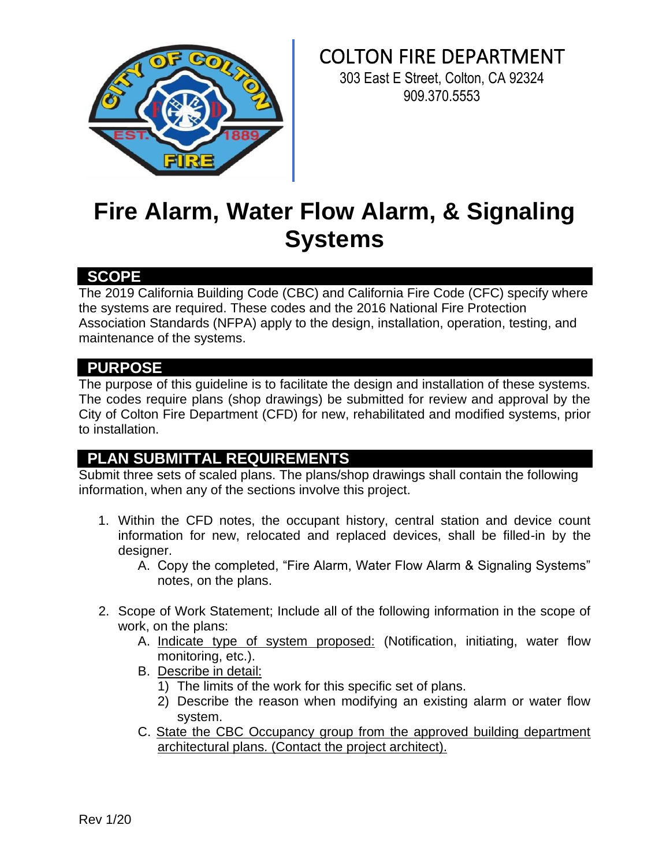

COLTON FIRE DEPARTMENT

303 East E Street, Colton, CA 92324 909.370.5553

# **Fire Alarm, Water Flow Alarm, & Signaling Systems**

### **SCOPE**

The 2019 California Building Code (CBC) and California Fire Code (CFC) specify where the systems are required. These codes and the 2016 National Fire Protection Association Standards (NFPA) apply to the design, installation, operation, testing, and maintenance of the systems.

### **PURPOSE**

The purpose of this guideline is to facilitate the design and installation of these systems. The codes require plans (shop drawings) be submitted for review and approval by the City of Colton Fire Department (CFD) for new, rehabilitated and modified systems, prior to installation.

## **PLAN SUBMITTAL REQUIREMENTS**

Submit three sets of scaled plans. The plans/shop drawings shall contain the following information, when any of the sections involve this project.

- 1. Within the CFD notes, the occupant history, central station and device count information for new, relocated and replaced devices, shall be filled-in by the desianer.
	- A. Copy the completed, "Fire Alarm, Water Flow Alarm & Signaling Systems" notes, on the plans.
- 2. Scope of Work Statement; Include all of the following information in the scope of work, on the plans:
	- A. Indicate type of system proposed: (Notification, initiating, water flow monitoring, etc.).
	- B. Describe in detail:
		- 1) The limits of the work for this specific set of plans.
		- 2) Describe the reason when modifying an existing alarm or water flow system.
	- C. State the CBC Occupancy group from the approved building department architectural plans. (Contact the project architect).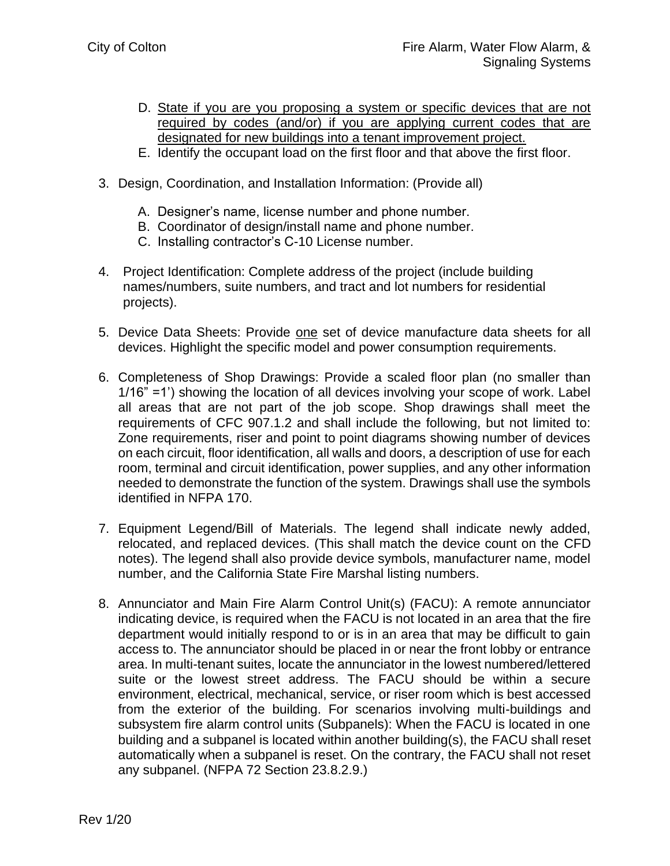- D. State if you are you proposing a system or specific devices that are not required by codes (and/or) if you are applying current codes that are designated for new buildings into a tenant improvement project.
- E. Identify the occupant load on the first floor and that above the first floor.
- 3. Design, Coordination, and Installation Information: (Provide all)
	- A. Designer's name, license number and phone number.
	- B. Coordinator of design/install name and phone number.
	- C. Installing contractor's C-10 License number.
- 4. Project Identification: Complete address of the project (include building names/numbers, suite numbers, and tract and lot numbers for residential projects).
- 5. Device Data Sheets: Provide one set of device manufacture data sheets for all devices. Highlight the specific model and power consumption requirements.
- 6. Completeness of Shop Drawings: Provide a scaled floor plan (no smaller than 1/16" =1') showing the location of all devices involving your scope of work. Label all areas that are not part of the job scope. Shop drawings shall meet the requirements of CFC 907.1.2 and shall include the following, but not limited to: Zone requirements, riser and point to point diagrams showing number of devices on each circuit, floor identification, all walls and doors, a description of use for each room, terminal and circuit identification, power supplies, and any other information needed to demonstrate the function of the system. Drawings shall use the symbols identified in NFPA 170.
- 7. Equipment Legend/Bill of Materials. The legend shall indicate newly added, relocated, and replaced devices. (This shall match the device count on the CFD notes). The legend shall also provide device symbols, manufacturer name, model number, and the California State Fire Marshal listing numbers.
- 8. Annunciator and Main Fire Alarm Control Unit(s) (FACU): A remote annunciator indicating device, is required when the FACU is not located in an area that the fire department would initially respond to or is in an area that may be difficult to gain access to. The annunciator should be placed in or near the front lobby or entrance area. In multi-tenant suites, locate the annunciator in the lowest numbered/lettered suite or the lowest street address. The FACU should be within a secure environment, electrical, mechanical, service, or riser room which is best accessed from the exterior of the building. For scenarios involving multi-buildings and subsystem fire alarm control units (Subpanels): When the FACU is located in one building and a subpanel is located within another building(s), the FACU shall reset automatically when a subpanel is reset. On the contrary, the FACU shall not reset any subpanel. (NFPA 72 Section 23.8.2.9.)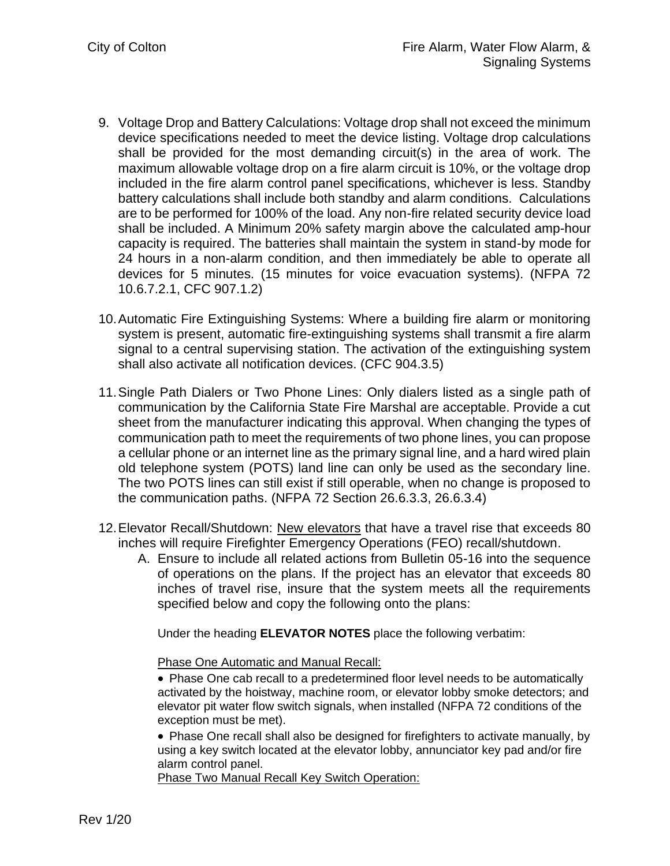- 9. Voltage Drop and Battery Calculations: Voltage drop shall not exceed the minimum device specifications needed to meet the device listing. Voltage drop calculations shall be provided for the most demanding circuit(s) in the area of work. The maximum allowable voltage drop on a fire alarm circuit is 10%, or the voltage drop included in the fire alarm control panel specifications, whichever is less. Standby battery calculations shall include both standby and alarm conditions. Calculations are to be performed for 100% of the load. Any non-fire related security device load shall be included. A Minimum 20% safety margin above the calculated amp-hour capacity is required. The batteries shall maintain the system in stand-by mode for 24 hours in a non-alarm condition, and then immediately be able to operate all devices for 5 minutes. (15 minutes for voice evacuation systems). (NFPA 72 10.6.7.2.1, CFC 907.1.2)
- 10.Automatic Fire Extinguishing Systems: Where a building fire alarm or monitoring system is present, automatic fire-extinguishing systems shall transmit a fire alarm signal to a central supervising station. The activation of the extinguishing system shall also activate all notification devices. (CFC 904.3.5)
- 11.Single Path Dialers or Two Phone Lines: Only dialers listed as a single path of communication by the California State Fire Marshal are acceptable. Provide a cut sheet from the manufacturer indicating this approval. When changing the types of communication path to meet the requirements of two phone lines, you can propose a cellular phone or an internet line as the primary signal line, and a hard wired plain old telephone system (POTS) land line can only be used as the secondary line. The two POTS lines can still exist if still operable, when no change is proposed to the communication paths. (NFPA 72 Section 26.6.3.3, 26.6.3.4)
- 12. Elevator Recall/Shutdown: New elevators that have a travel rise that exceeds 80 inches will require Firefighter Emergency Operations (FEO) recall/shutdown.
	- A. Ensure to include all related actions from Bulletin 05-16 into the sequence of operations on the plans. If the project has an elevator that exceeds 80 inches of travel rise, insure that the system meets all the requirements specified below and copy the following onto the plans:

Under the heading **ELEVATOR NOTES** place the following verbatim:

Phase One Automatic and Manual Recall:

• Phase One cab recall to a predetermined floor level needs to be automatically activated by the hoistway, machine room, or elevator lobby smoke detectors; and elevator pit water flow switch signals, when installed (NFPA 72 conditions of the exception must be met).

• Phase One recall shall also be designed for firefighters to activate manually, by using a key switch located at the elevator lobby, annunciator key pad and/or fire alarm control panel.

Phase Two Manual Recall Key Switch Operation: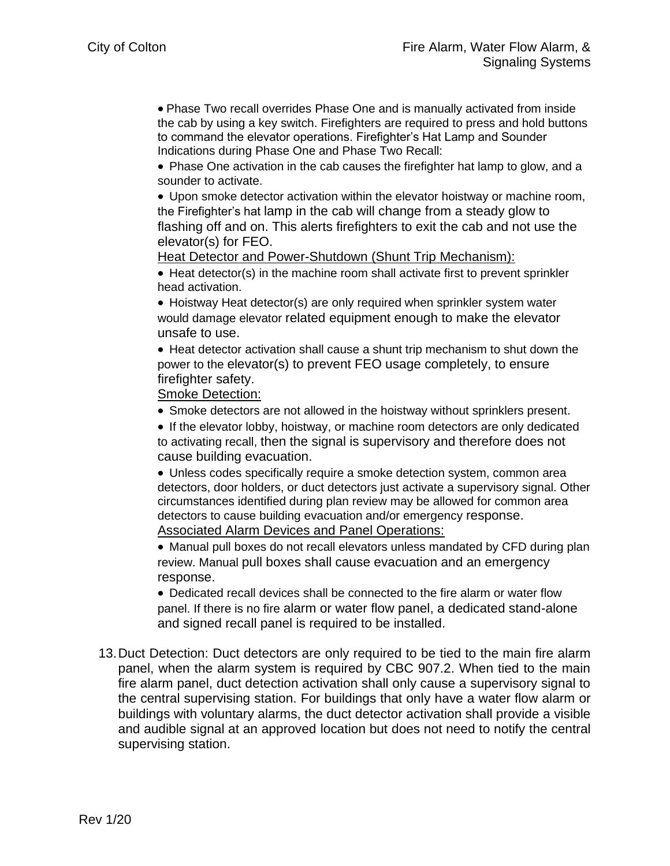• Phase Two recall overrides Phase One and is manually activated from inside the cab by using a key switch. Firefighters are required to press and hold buttons to command the elevator operations. Firefighter's Hat Lamp and Sounder Indications during Phase One and Phase Two Recall:

• Phase One activation in the cab causes the firefighter hat lamp to glow, and a sounder to activate.

• Upon smoke detector activation within the elevator hoistway or machine room, the Firefighter's hat lamp in the cab will change from a steady glow to flashing off and on. This alerts firefighters to exit the cab and not use the elevator(s) for FEO.

Heat Detector and Power-Shutdown (Shunt Trip Mechanism):

• Heat detector(s) in the machine room shall activate first to prevent sprinkler head activation.

• Hoistway Heat detector(s) are only required when sprinkler system water would damage elevator related equipment enough to make the elevator unsafe to use.

• Heat detector activation shall cause a shunt trip mechanism to shut down the power to the elevator(s) to prevent FEO usage completely, to ensure firefighter safety.

Smoke Detection:

• Smoke detectors are not allowed in the hoistway without sprinklers present.

• If the elevator lobby, hoistway, or machine room detectors are only dedicated to activating recall, then the signal is supervisory and therefore does not cause building evacuation.

• Unless codes specifically require a smoke detection system, common area detectors, door holders, or duct detectors just activate a supervisory signal. Other circumstances identified during plan review may be allowed for common area detectors to cause building evacuation and/or emergency response.

Associated Alarm Devices and Panel Operations:

• Manual pull boxes do not recall elevators unless mandated by CFD during plan review. Manual pull boxes shall cause evacuation and an emergency response.

• Dedicated recall devices shall be connected to the fire alarm or water flow panel. If there is no fire alarm or water flow panel, a dedicated stand-alone and signed recall panel is required to be installed.

13.Duct Detection: Duct detectors are only required to be tied to the main fire alarm panel, when the alarm system is required by CBC 907.2. When tied to the main fire alarm panel, duct detection activation shall only cause a supervisory signal to the central supervising station. For buildings that only have a water flow alarm or buildings with voluntary alarms, the duct detector activation shall provide a visible and audible signal at an approved location but does not need to notify the central supervising station.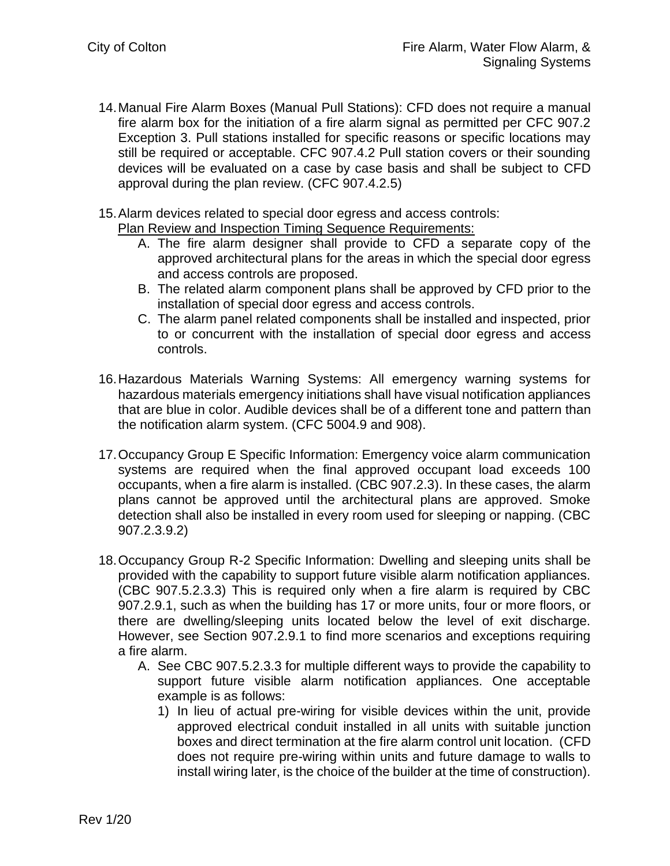- 14.Manual Fire Alarm Boxes (Manual Pull Stations): CFD does not require a manual fire alarm box for the initiation of a fire alarm signal as permitted per CFC 907.2 Exception 3. Pull stations installed for specific reasons or specific locations may still be required or acceptable. CFC 907.4.2 Pull station covers or their sounding devices will be evaluated on a case by case basis and shall be subject to CFD approval during the plan review. (CFC 907.4.2.5)
- 15.Alarm devices related to special door egress and access controls: Plan Review and Inspection Timing Sequence Requirements:
	- A. The fire alarm designer shall provide to CFD a separate copy of the approved architectural plans for the areas in which the special door egress and access controls are proposed.
	- B. The related alarm component plans shall be approved by CFD prior to the installation of special door egress and access controls.
	- C. The alarm panel related components shall be installed and inspected, prior to or concurrent with the installation of special door egress and access controls.
- 16.Hazardous Materials Warning Systems: All emergency warning systems for hazardous materials emergency initiations shall have visual notification appliances that are blue in color. Audible devices shall be of a different tone and pattern than the notification alarm system. (CFC 5004.9 and 908).
- 17.Occupancy Group E Specific Information: Emergency voice alarm communication systems are required when the final approved occupant load exceeds 100 occupants, when a fire alarm is installed. (CBC 907.2.3). In these cases, the alarm plans cannot be approved until the architectural plans are approved. Smoke detection shall also be installed in every room used for sleeping or napping. (CBC 907.2.3.9.2)
- 18.Occupancy Group R-2 Specific Information: Dwelling and sleeping units shall be provided with the capability to support future visible alarm notification appliances. (CBC 907.5.2.3.3) This is required only when a fire alarm is required by CBC 907.2.9.1, such as when the building has 17 or more units, four or more floors, or there are dwelling/sleeping units located below the level of exit discharge. However, see Section 907.2.9.1 to find more scenarios and exceptions requiring a fire alarm.
	- A. See CBC 907.5.2.3.3 for multiple different ways to provide the capability to support future visible alarm notification appliances. One acceptable example is as follows:
		- 1) In lieu of actual pre-wiring for visible devices within the unit, provide approved electrical conduit installed in all units with suitable junction boxes and direct termination at the fire alarm control unit location. (CFD does not require pre-wiring within units and future damage to walls to install wiring later, is the choice of the builder at the time of construction).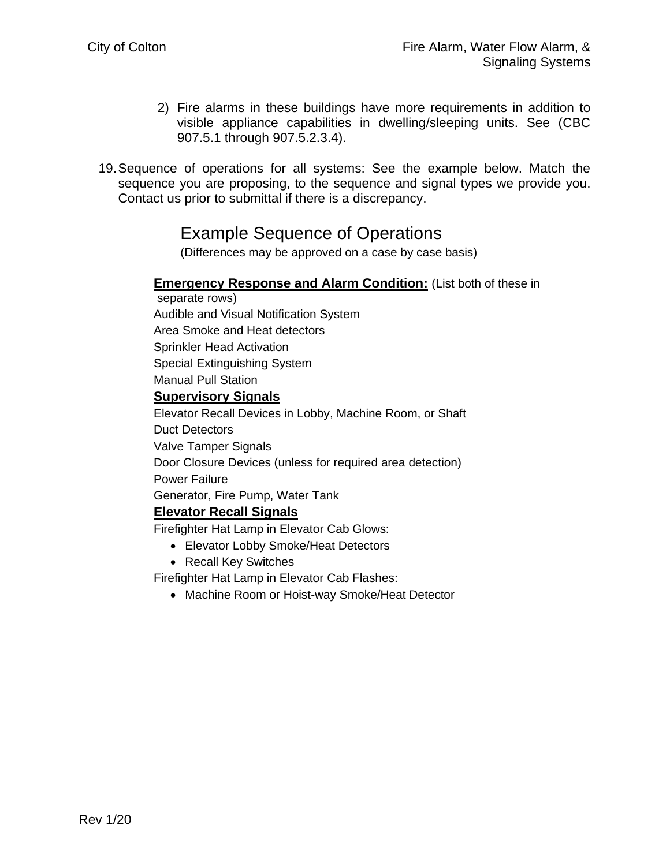- 2) Fire alarms in these buildings have more requirements in addition to visible appliance capabilities in dwelling/sleeping units. See (CBC 907.5.1 through 907.5.2.3.4).
- 19.Sequence of operations for all systems: See the example below. Match the sequence you are proposing, to the sequence and signal types we provide you. Contact us prior to submittal if there is a discrepancy.

# Example Sequence of Operations

(Differences may be approved on a case by case basis)

### **Emergency Response and Alarm Condition:** (List both of these in

separate rows) Audible and Visual Notification System Area Smoke and Heat detectors Sprinkler Head Activation Special Extinguishing System Manual Pull Station

#### **Supervisory Signals**

Elevator Recall Devices in Lobby, Machine Room, or Shaft Duct Detectors Valve Tamper Signals Door Closure Devices (unless for required area detection) Power Failure Generator, Fire Pump, Water Tank **Elevator Recall Signals**

Firefighter Hat Lamp in Elevator Cab Glows:

- Elevator Lobby Smoke/Heat Detectors
- Recall Key Switches

Firefighter Hat Lamp in Elevator Cab Flashes:

• Machine Room or Hoist-way Smoke/Heat Detector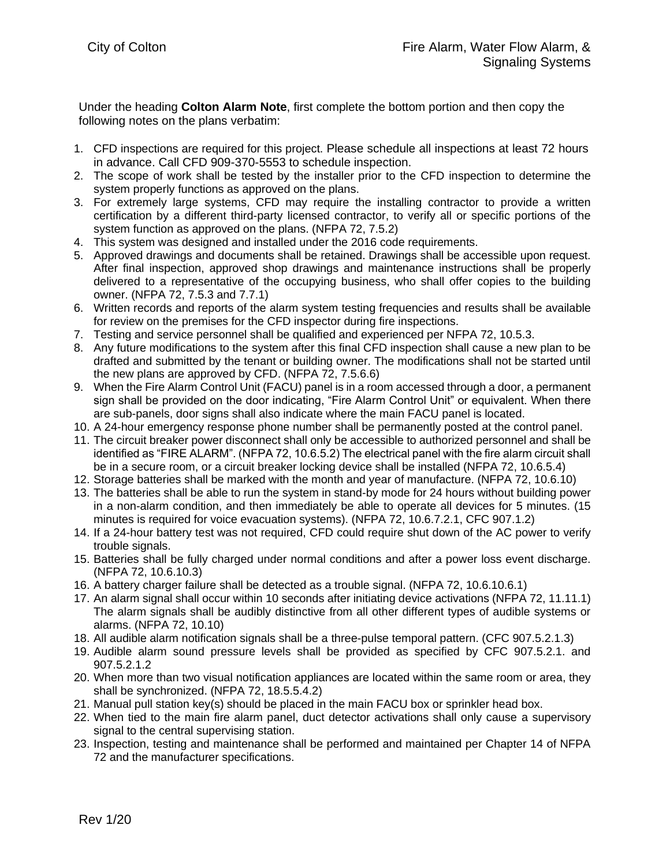Under the heading **Colton Alarm Note**, first complete the bottom portion and then copy the following notes on the plans verbatim:

- 1. CFD inspections are required for this project. Please schedule all inspections at least 72 hours in advance. Call CFD 909-370-5553 to schedule inspection.
- 2. The scope of work shall be tested by the installer prior to the CFD inspection to determine the system properly functions as approved on the plans.
- 3. For extremely large systems, CFD may require the installing contractor to provide a written certification by a different third-party licensed contractor, to verify all or specific portions of the system function as approved on the plans. (NFPA 72, 7.5.2)
- 4. This system was designed and installed under the 2016 code requirements.
- 5. Approved drawings and documents shall be retained. Drawings shall be accessible upon request. After final inspection, approved shop drawings and maintenance instructions shall be properly delivered to a representative of the occupying business, who shall offer copies to the building owner. (NFPA 72, 7.5.3 and 7.7.1)
- 6. Written records and reports of the alarm system testing frequencies and results shall be available for review on the premises for the CFD inspector during fire inspections.
- 7. Testing and service personnel shall be qualified and experienced per NFPA 72, 10.5.3.
- 8. Any future modifications to the system after this final CFD inspection shall cause a new plan to be drafted and submitted by the tenant or building owner. The modifications shall not be started until the new plans are approved by CFD. (NFPA 72, 7.5.6.6)
- 9. When the Fire Alarm Control Unit (FACU) panel is in a room accessed through a door, a permanent sign shall be provided on the door indicating, "Fire Alarm Control Unit" or equivalent. When there are sub-panels, door signs shall also indicate where the main FACU panel is located.
- 10. A 24-hour emergency response phone number shall be permanently posted at the control panel.
- 11. The circuit breaker power disconnect shall only be accessible to authorized personnel and shall be identified as "FIRE ALARM". (NFPA 72, 10.6.5.2) The electrical panel with the fire alarm circuit shall be in a secure room, or a circuit breaker locking device shall be installed (NFPA 72, 10.6.5.4)
- 12. Storage batteries shall be marked with the month and year of manufacture. (NFPA 72, 10.6.10)
- 13. The batteries shall be able to run the system in stand-by mode for 24 hours without building power in a non-alarm condition, and then immediately be able to operate all devices for 5 minutes. (15 minutes is required for voice evacuation systems). (NFPA 72, 10.6.7.2.1, CFC 907.1.2)
- 14. If a 24-hour battery test was not required, CFD could require shut down of the AC power to verify trouble signals.
- 15. Batteries shall be fully charged under normal conditions and after a power loss event discharge. (NFPA 72, 10.6.10.3)
- 16. A battery charger failure shall be detected as a trouble signal. (NFPA 72, 10.6.10.6.1)
- 17. An alarm signal shall occur within 10 seconds after initiating device activations (NFPA 72, 11.11.1) The alarm signals shall be audibly distinctive from all other different types of audible systems or alarms. (NFPA 72, 10.10)
- 18. All audible alarm notification signals shall be a three-pulse temporal pattern. (CFC 907.5.2.1.3)
- 19. Audible alarm sound pressure levels shall be provided as specified by CFC 907.5.2.1. and 907.5.2.1.2
- 20. When more than two visual notification appliances are located within the same room or area, they shall be synchronized. (NFPA 72, 18.5.5.4.2)
- 21. Manual pull station key(s) should be placed in the main FACU box or sprinkler head box.
- 22. When tied to the main fire alarm panel, duct detector activations shall only cause a supervisory signal to the central supervising station.
- 23. Inspection, testing and maintenance shall be performed and maintained per Chapter 14 of NFPA 72 and the manufacturer specifications.